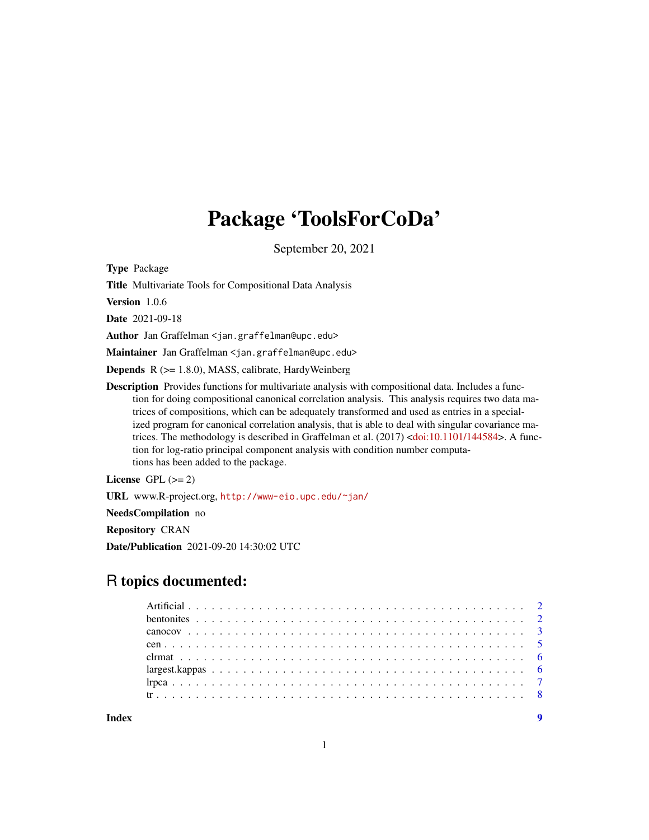# Package 'ToolsForCoDa'

September 20, 2021

<span id="page-0-0"></span>Type Package

Title Multivariate Tools for Compositional Data Analysis

Version 1.0.6

Date 2021-09-18

Author Jan Graffelman <jan.graffelman@upc.edu>

Maintainer Jan Graffelman <jan.graffelman@upc.edu>

Depends R (>= 1.8.0), MASS, calibrate, HardyWeinberg

Description Provides functions for multivariate analysis with compositional data. Includes a function for doing compositional canonical correlation analysis. This analysis requires two data matrices of compositions, which can be adequately transformed and used as entries in a specialized program for canonical correlation analysis, that is able to deal with singular covariance ma-trices. The methodology is described in Graffelman et al. (2017) [<doi:10.1101/144584>](https://doi.org/10.1101/144584). A function for log-ratio principal component analysis with condition number computations has been added to the package.

License GPL  $(>= 2)$ 

URL www.R-project.org, <http://www-eio.upc.edu/~jan/>

NeedsCompilation no

Repository CRAN

Date/Publication 2021-09-20 14:30:02 UTC

# R topics documented: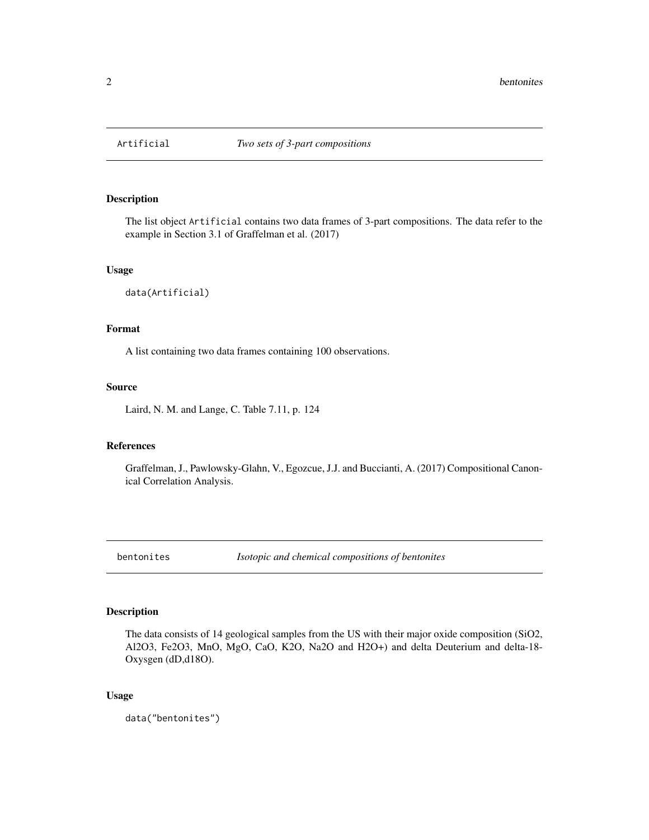<span id="page-1-0"></span>

## Description

The list object Artificial contains two data frames of 3-part compositions. The data refer to the example in Section 3.1 of Graffelman et al. (2017)

#### Usage

data(Artificial)

### Format

A list containing two data frames containing 100 observations.

# Source

Laird, N. M. and Lange, C. Table 7.11, p. 124

# References

Graffelman, J., Pawlowsky-Glahn, V., Egozcue, J.J. and Buccianti, A. (2017) Compositional Canonical Correlation Analysis.

bentonites *Isotopic and chemical compositions of bentonites*

# Description

The data consists of 14 geological samples from the US with their major oxide composition (SiO2, Al2O3, Fe2O3, MnO, MgO, CaO, K2O, Na2O and H2O+) and delta Deuterium and delta-18- Oxysgen (dD,d18O).

#### Usage

data("bentonites")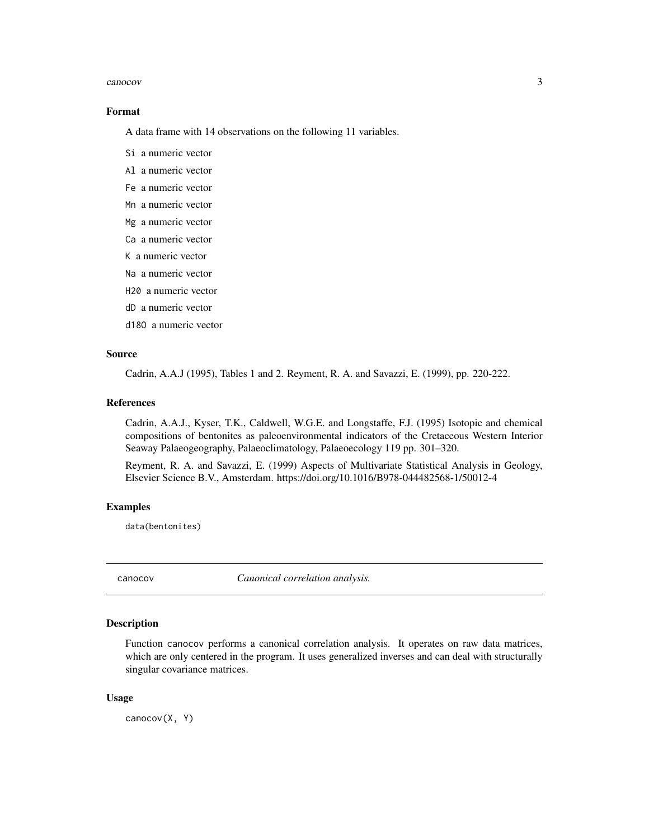#### <span id="page-2-0"></span>canocov 3

#### Format

A data frame with 14 observations on the following 11 variables.

- Si a numeric vector
- Al a numeric vector
- Fe a numeric vector
- Mn a numeric vector
- Mg a numeric vector
- Ca a numeric vector
- K a numeric vector
- Na a numeric vector
- H20 a numeric vector
- dD a numeric vector
- d18O a numeric vector

### Source

Cadrin, A.A.J (1995), Tables 1 and 2. Reyment, R. A. and Savazzi, E. (1999), pp. 220-222.

#### References

Cadrin, A.A.J., Kyser, T.K., Caldwell, W.G.E. and Longstaffe, F.J. (1995) Isotopic and chemical compositions of bentonites as paleoenvironmental indicators of the Cretaceous Western Interior Seaway Palaeogeography, Palaeoclimatology, Palaeoecology 119 pp. 301–320.

Reyment, R. A. and Savazzi, E. (1999) Aspects of Multivariate Statistical Analysis in Geology, Elsevier Science B.V., Amsterdam. https://doi.org/10.1016/B978-044482568-1/50012-4

#### Examples

data(bentonites)

canocov *Canonical correlation analysis.*

# **Description**

Function canocov performs a canonical correlation analysis. It operates on raw data matrices, which are only centered in the program. It uses generalized inverses and can deal with structurally singular covariance matrices.

#### Usage

canocov(X, Y)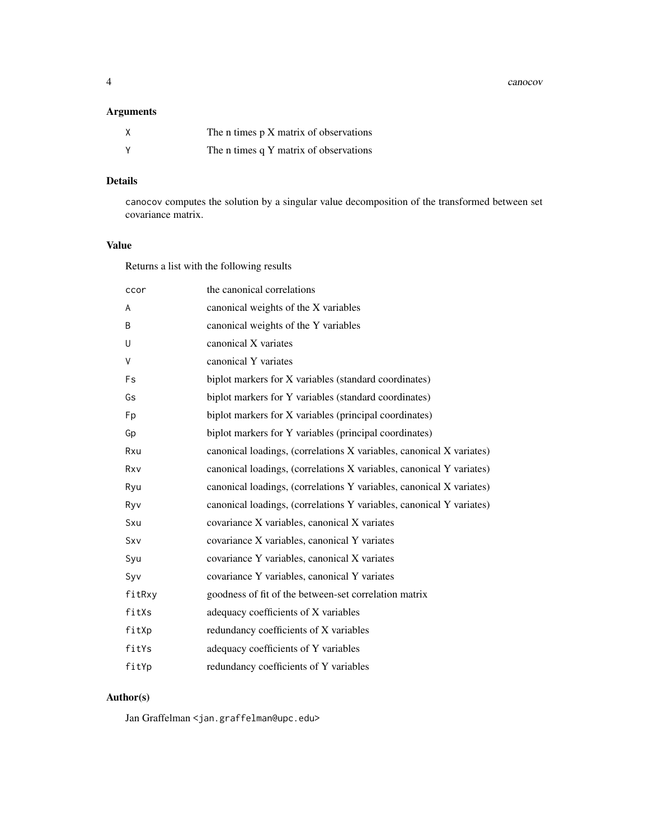4 canocov

# Arguments

| The n times p X matrix of observations |
|----------------------------------------|
| The n times q Y matrix of observations |

# Details

canocov computes the solution by a singular value decomposition of the transformed between set covariance matrix.

# Value

Returns a list with the following results

| ccor   | the canonical correlations                                           |
|--------|----------------------------------------------------------------------|
| A      | canonical weights of the X variables                                 |
| B      | canonical weights of the Y variables                                 |
| U      | canonical X variates                                                 |
| V      | canonical Y variates                                                 |
| Fs     | biplot markers for X variables (standard coordinates)                |
| Gs     | biplot markers for Y variables (standard coordinates)                |
| Fp     | biplot markers for X variables (principal coordinates)               |
| Gp     | biplot markers for Y variables (principal coordinates)               |
| Rxu    | canonical loadings, (correlations X variables, canonical X variates) |
| Rxv    | canonical loadings, (correlations X variables, canonical Y variates) |
| Ryu    | canonical loadings, (correlations Y variables, canonical X variates) |
| Ryv    | canonical loadings, (correlations Y variables, canonical Y variates) |
| Sxu    | covariance X variables, canonical X variates                         |
| Sxv    | covariance X variables, canonical Y variates                         |
| Syu    | covariance Y variables, canonical X variates                         |
| Syv    | covariance Y variables, canonical Y variates                         |
| fitRxy | goodness of fit of the between-set correlation matrix                |
| fitXs  | adequacy coefficients of X variables                                 |
| fitXp  | redundancy coefficients of X variables                               |
| fitYs  | adequacy coefficients of Y variables                                 |
| fitYp  | redundancy coefficients of Y variables                               |

# Author(s)

Jan Graffelman <jan.graffelman@upc.edu>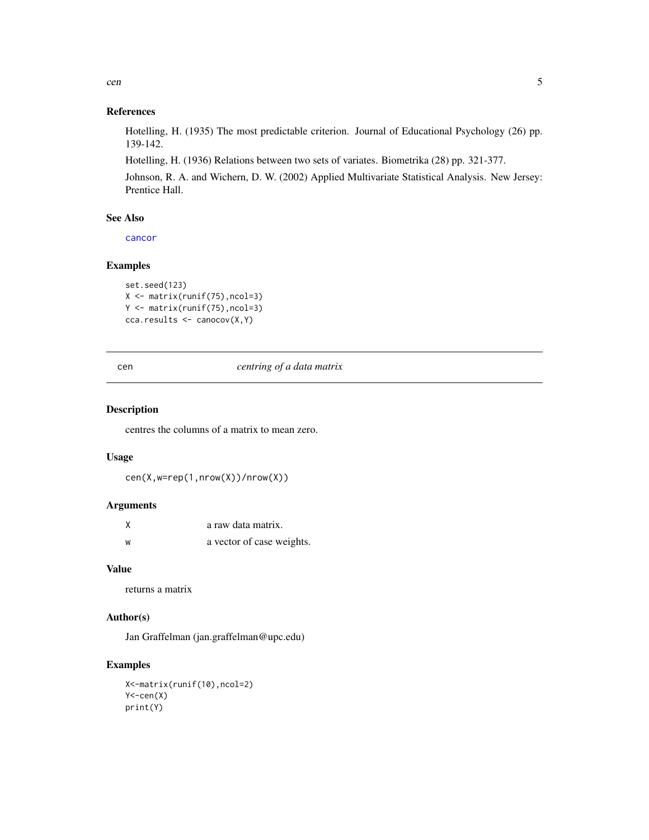<span id="page-4-0"></span>cen 5

# References

Hotelling, H. (1935) The most predictable criterion. Journal of Educational Psychology (26) pp. 139-142.

Hotelling, H. (1936) Relations between two sets of variates. Biometrika (28) pp. 321-377.

Johnson, R. A. and Wichern, D. W. (2002) Applied Multivariate Statistical Analysis. New Jersey: Prentice Hall.

### See Also

[cancor](#page-0-0)

#### Examples

```
set.seed(123)
X <- matrix(runif(75),ncol=3)
Y <- matrix(runif(75),ncol=3)
cca.results <- canocov(X,Y)
```
#### cen *centring of a data matrix*

## Description

centres the columns of a matrix to mean zero.

#### Usage

cen(X,w=rep(1,nrow(X))/nrow(X))

# Arguments

| Χ | a raw data matrix.        |
|---|---------------------------|
| W | a vector of case weights. |

# Value

returns a matrix

### Author(s)

Jan Graffelman (jan.graffelman@upc.edu)

# Examples

```
X<-matrix(runif(10),ncol=2)
Y <-cen(X)print(Y)
```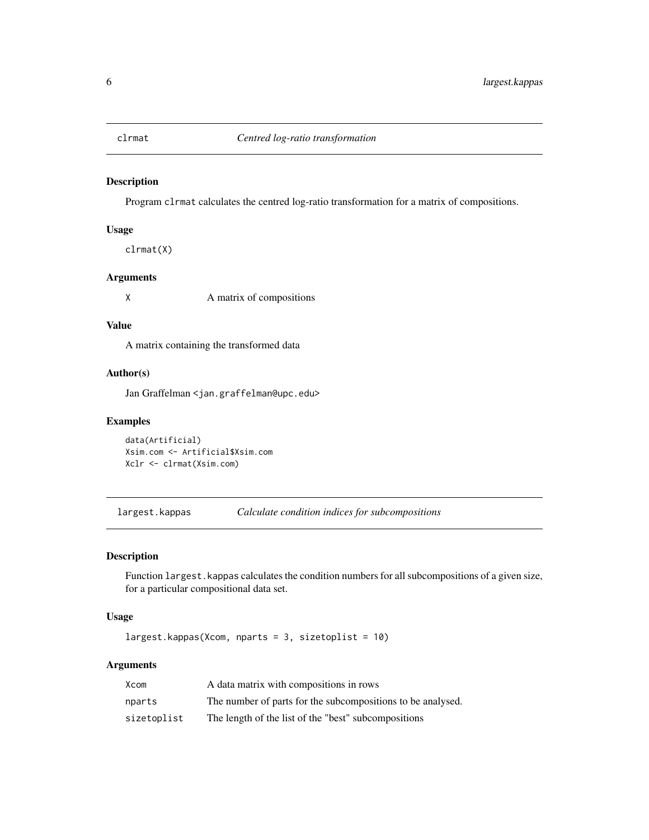<span id="page-5-0"></span>

# Description

Program clrmat calculates the centred log-ratio transformation for a matrix of compositions.

#### Usage

clrmat(X)

# Arguments

X A matrix of compositions

#### Value

A matrix containing the transformed data

# Author(s)

Jan Graffelman <jan.graffelman@upc.edu>

## Examples

data(Artificial) Xsim.com <- Artificial\$Xsim.com Xclr <- clrmat(Xsim.com)

largest.kappas *Calculate condition indices for subcompositions*

#### Description

Function largest.kappas calculates the condition numbers for all subcompositions of a given size, for a particular compositional data set.

### Usage

largest.kappas(Xcom, nparts = 3, sizetoplist = 10)

# Arguments

| Xcom        | A data matrix with compositions in rows                     |
|-------------|-------------------------------------------------------------|
| nparts      | The number of parts for the subcompositions to be analysed. |
| sizetoplist | The length of the list of the "best" subcompositions        |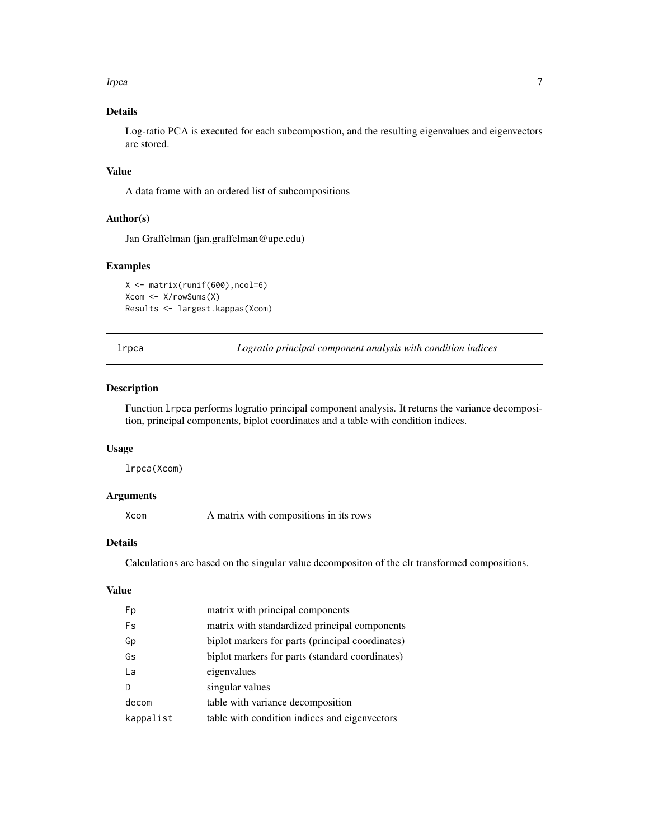#### <span id="page-6-0"></span>lrpca and the contract of the contract of the contract of the contract of the contract of the contract of the contract of the contract of the contract of the contract of the contract of the contract of the contract of the

# Details

Log-ratio PCA is executed for each subcompostion, and the resulting eigenvalues and eigenvectors are stored.

# Value

A data frame with an ordered list of subcompositions

#### Author(s)

Jan Graffelman (jan.graffelman@upc.edu)

#### Examples

X <- matrix(runif(600),ncol=6) Xcom <- X/rowSums(X) Results <- largest.kappas(Xcom)

lrpca *Logratio principal component analysis with condition indices*

#### Description

Function lrpca performs logratio principal component analysis. It returns the variance decomposition, principal components, biplot coordinates and a table with condition indices.

# Usage

lrpca(Xcom)

# Arguments

Xcom A matrix with compositions in its rows

# Details

Calculations are based on the singular value decompositon of the clr transformed compositions.

# Value

| Fp        | matrix with principal components                 |
|-----------|--------------------------------------------------|
| Fs        | matrix with standardized principal components    |
| Gp        | biplot markers for parts (principal coordinates) |
| Gs        | biplot markers for parts (standard coordinates)  |
| La        | eigenvalues                                      |
| D         | singular values                                  |
| decom     | table with variance decomposition                |
| kappalist | table with condition indices and eigenvectors    |
|           |                                                  |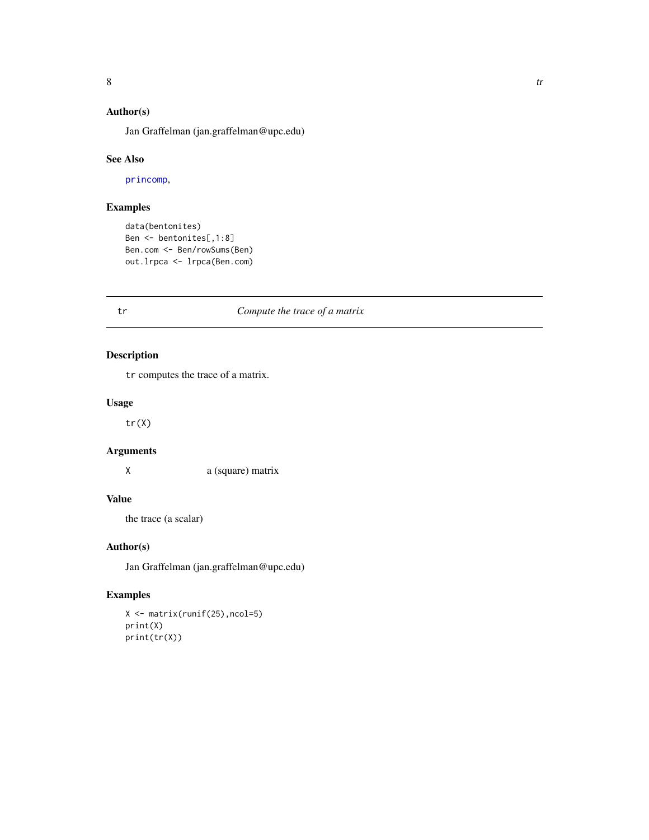# <span id="page-7-0"></span>Author(s)

Jan Graffelman (jan.graffelman@upc.edu)

#### See Also

[princomp](#page-0-0),

# Examples

```
data(bentonites)
Ben <- bentonites[,1:8]
Ben.com <- Ben/rowSums(Ben)
out.lrpca <- lrpca(Ben.com)
```
# tr *Compute the trace of a matrix*

# Description

tr computes the trace of a matrix.

## Usage

tr(X)

# Arguments

X a (square) matrix

# Value

the trace (a scalar)

# Author(s)

Jan Graffelman (jan.graffelman@upc.edu)

# Examples

X <- matrix(runif(25),ncol=5) print(X) print(tr(X))